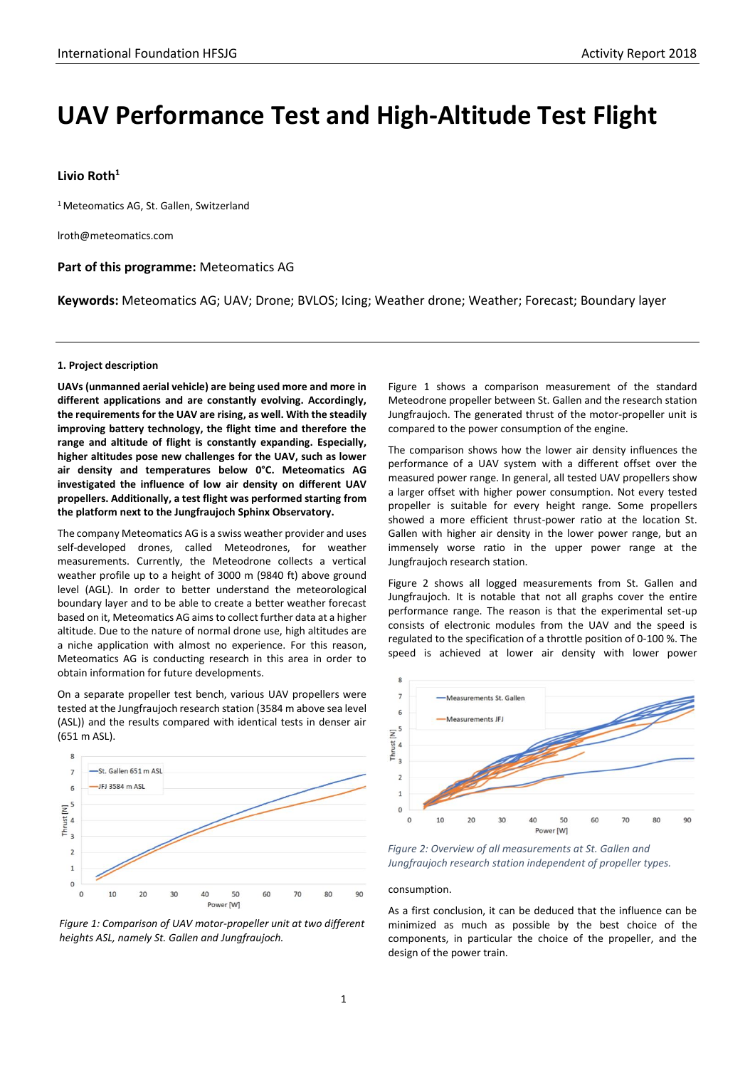# **UAV Performance Test and High-Altitude Test Flight**

# **Livio Roth<sup>1</sup>**

<sup>1</sup> Meteomatics AG, St. Gallen, Switzerland

lroth@meteomatics.com

## **Part of this programme:** Meteomatics AG

**Keywords:** Meteomatics AG; UAV; Drone; BVLOS; Icing; Weather drone; Weather; Forecast; Boundary layer

## **1. Project description**

**UAVs (unmanned aerial vehicle) are being used more and more in different applications and are constantly evolving. Accordingly, the requirements for the UAV are rising, as well. With the steadily improving battery technology, the flight time and therefore the range and altitude of flight is constantly expanding. Especially, higher altitudes pose new challenges for the UAV, such as lower air density and temperatures below 0°C. Meteomatics AG investigated the influence of low air density on different UAV propellers. Additionally, a test flight was performed starting from the platform next to the Jungfraujoch Sphinx Observatory.**

The company Meteomatics AG is a swiss weather provider and uses self-developed drones, called Meteodrones, for weather measurements. Currently, the Meteodrone collects a vertical weather profile up to a height of 3000 m (9840 ft) above ground level (AGL). In order to better understand the meteorological boundary layer and to be able to create a better weather forecast based on it, Meteomatics AG aimsto collect further data at a higher altitude. Due to the nature of normal drone use, high altitudes are a niche application with almost no experience. For this reason, Meteomatics AG is conducting research in this area in order to obtain information for future developments.

On a separate propeller test bench, various UAV propellers were tested at the Jungfraujoch research station (3584 m above sea level (ASL)) and the results compared with identical tests in denser air (651 m ASL).



*Figure 1: Comparison of UAV motor-propeller unit at two different heights ASL, namely St. Gallen and Jungfraujoch.*

Figure 1 shows a comparison measurement of the standard Meteodrone propeller between St. Gallen and the research station Jungfraujoch. The generated thrust of the motor-propeller unit is compared to the power consumption of the engine.

The comparison shows how the lower air density influences the performance of a UAV system with a different offset over the measured power range. In general, all tested UAV propellers show a larger offset with higher power consumption. Not every tested propeller is suitable for every height range. Some propellers showed a more efficient thrust-power ratio at the location St. Gallen with higher air density in the lower power range, but an immensely worse ratio in the upper power range at the Jungfraujoch research station.

Figure 2 shows all logged measurements from St. Gallen and Jungfraujoch. It is notable that not all graphs cover the entire performance range. The reason is that the experimental set-up consists of electronic modules from the UAV and the speed is regulated to the specification of a throttle position of 0-100 %. The speed is achieved at lower air density with lower power



*Figure 2: Overview of all measurements at St. Gallen and Jungfraujoch research station independent of propeller types.*

#### consumption.

As a first conclusion, it can be deduced that the influence can be minimized as much as possible by the best choice of the components, in particular the choice of the propeller, and the design of the power train.